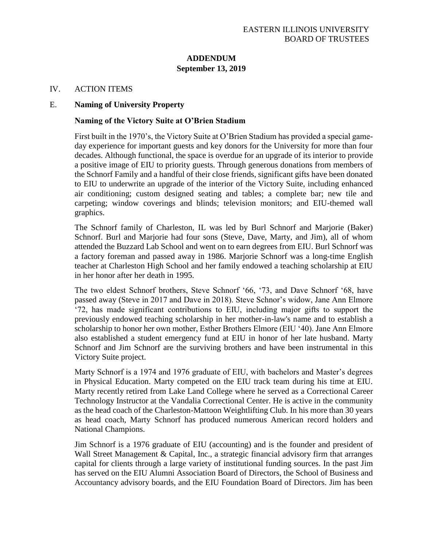## **ADDENDUM September 13, 2019**

## IV. ACTION ITEMS

## E. **Naming of University Property**

## **Naming of the Victory Suite at O'Brien Stadium**

First built in the 1970's, the Victory Suite at O'Brien Stadium has provided a special gameday experience for important guests and key donors for the University for more than four decades. Although functional, the space is overdue for an upgrade of its interior to provide a positive image of EIU to priority guests. Through generous donations from members of the Schnorf Family and a handful of their close friends, significant gifts have been donated to EIU to underwrite an upgrade of the interior of the Victory Suite, including enhanced air conditioning; custom designed seating and tables; a complete bar; new tile and carpeting; window coverings and blinds; television monitors; and EIU-themed wall graphics.

The Schnorf family of Charleston, IL was led by Burl Schnorf and Marjorie (Baker) Schnorf. Burl and Marjorie had four sons (Steve, Dave, Marty, and Jim), all of whom attended the Buzzard Lab School and went on to earn degrees from EIU. Burl Schnorf was a factory foreman and passed away in 1986. Marjorie Schnorf was a long-time English teacher at Charleston High School and her family endowed a teaching scholarship at EIU in her honor after her death in 1995.

The two eldest Schnorf brothers, Steve Schnorf '66, '73, and Dave Schnorf '68, have passed away (Steve in 2017 and Dave in 2018). Steve Schnor's widow, Jane Ann Elmore '72, has made significant contributions to EIU, including major gifts to support the previously endowed teaching scholarship in her mother-in-law's name and to establish a scholarship to honor her own mother, Esther Brothers Elmore (EIU '40). Jane Ann Elmore also established a student emergency fund at EIU in honor of her late husband. Marty Schnorf and Jim Schnorf are the surviving brothers and have been instrumental in this Victory Suite project.

Marty Schnorf is a 1974 and 1976 graduate of EIU, with bachelors and Master's degrees in Physical Education. Marty competed on the EIU track team during his time at EIU. Marty recently retired from Lake Land College where he served as a Correctional Career Technology Instructor at the Vandalia Correctional Center. He is active in the community as the head coach of the Charleston-Mattoon Weightlifting Club. In his more than 30 years as head coach, Marty Schnorf has produced numerous American record holders and National Champions.

Jim Schnorf is a 1976 graduate of EIU (accounting) and is the founder and president of Wall Street Management & Capital, Inc., a strategic financial advisory firm that arranges capital for clients through a large variety of institutional funding sources. In the past Jim has served on the EIU Alumni Association Board of Directors, the School of Business and Accountancy advisory boards, and the EIU Foundation Board of Directors. Jim has been